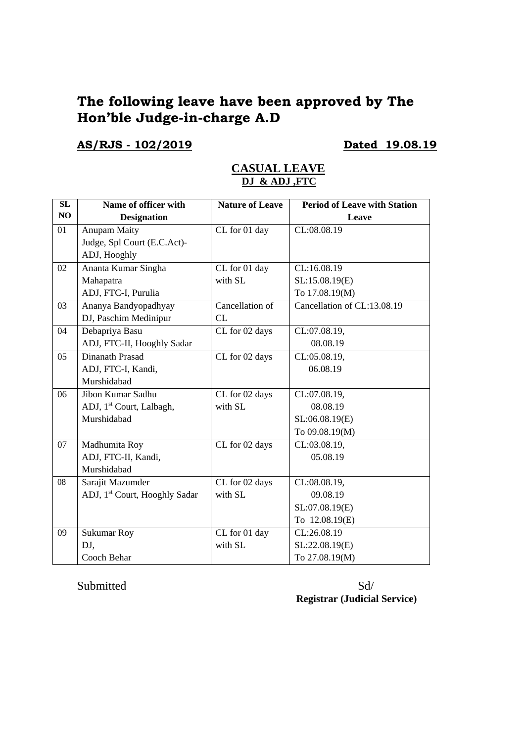# **The following leave have been approved by The Hon'ble Judge-in-charge A.D**

## **AS/RJS - 102/2019 Dated 19.08.19**

| <b>SL</b> | Name of officer with                      | <b>Nature of Leave</b> | <b>Period of Leave with Station</b> |
|-----------|-------------------------------------------|------------------------|-------------------------------------|
| NO        | <b>Designation</b>                        |                        | Leave                               |
| 01        | <b>Anupam Maity</b>                       | CL for 01 day          | CL:08.08.19                         |
|           | Judge, Spl Court (E.C.Act)-               |                        |                                     |
|           | ADJ, Hooghly                              |                        |                                     |
| 02        | Ananta Kumar Singha                       | CL for 01 day          | CL:16.08.19                         |
|           | Mahapatra                                 | with SL                | SL:15.08.19(E)                      |
|           | ADJ, FTC-I, Purulia                       |                        | To 17.08.19(M)                      |
| 03        | Ananya Bandyopadhyay                      | Cancellation of        | Cancellation of CL:13.08.19         |
|           | DJ, Paschim Medinipur                     | CL                     |                                     |
| 04        | Debapriya Basu                            | CL for 02 days         | CL:07.08.19,                        |
|           | ADJ, FTC-II, Hooghly Sadar                |                        | 08.08.19                            |
| 05        | Dinanath Prasad                           | CL for 02 days         | CL:05.08.19,                        |
|           | ADJ, FTC-I, Kandi,                        |                        | 06.08.19                            |
|           | Murshidabad                               |                        |                                     |
| 06        | Jibon Kumar Sadhu                         | CL for 02 days         | CL:07.08.19,                        |
|           | ADJ, 1 <sup>st</sup> Court, Lalbagh,      | with SL                | 08.08.19                            |
|           | Murshidabad                               |                        | SL:06.08.19(E)                      |
|           |                                           |                        | To 09.08.19(M)                      |
| 07        | Madhumita Roy                             | CL for 02 days         | CL:03.08.19,                        |
|           | ADJ, FTC-II, Kandi,                       |                        | 05.08.19                            |
|           | Murshidabad                               |                        |                                     |
| 08        | Sarajit Mazumder                          | CL for 02 days         | CL:08.08.19,                        |
|           | ADJ, 1 <sup>st</sup> Court, Hooghly Sadar | with SL                | 09.08.19                            |
|           |                                           |                        | SL:07.08.19(E)                      |
|           |                                           |                        | To 12.08.19(E)                      |
| 09        | <b>Sukumar Roy</b>                        | CL for 01 day          | CL:26.08.19                         |
|           | DJ,                                       | with SL                | SL:22.08.19(E)                      |
|           | Cooch Behar                               |                        | To 27.08.19(M)                      |

### **CASUAL LEAVE DJ & ADJ ,FTC**

Submitted Sd/ **Registrar (Judicial Service)**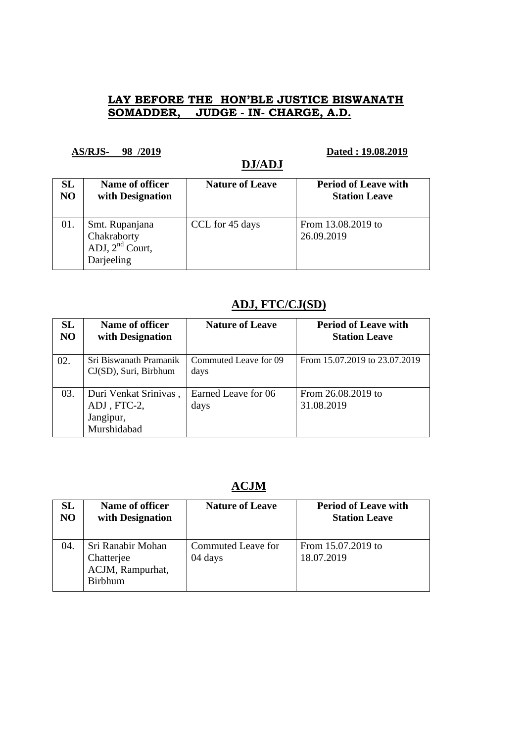## **LAY BEFORE THE HON'BLE JUSTICE BISWANATH SOMADDER, JUDGE - IN- CHARGE, A.D.**

**DJ/ADJ** 

### **AS/RJS- 98 /2019 Dated : 19.08.2019**

| SL             | Name of officer                                                  | <b>Nature of Leave</b> | <b>Period of Leave with</b>      |
|----------------|------------------------------------------------------------------|------------------------|----------------------------------|
| N <sub>O</sub> | with Designation                                                 |                        | <b>Station Leave</b>             |
| 01.            | Smt. Rupanjana<br>Chakraborty<br>ADJ, $2nd$ Court,<br>Darjeeling | CCL for 45 days        | From 13.08.2019 to<br>26.09.2019 |

## **ADJ, FTC/CJ(SD)**

| SL<br>N <sub>O</sub> | Name of officer<br>with Designation                              | <b>Nature of Leave</b>        | <b>Period of Leave with</b><br><b>Station Leave</b> |
|----------------------|------------------------------------------------------------------|-------------------------------|-----------------------------------------------------|
| 02.                  | Sri Biswanath Pramanik<br>CJ(SD), Suri, Birbhum                  | Commuted Leave for 09<br>days | From 15.07.2019 to 23.07.2019                       |
| 03.                  | Duri Venkat Srinivas,<br>ADJ, FTC-2,<br>Jangipur,<br>Murshidabad | Earned Leave for 06<br>days   | From 26.08.2019 to<br>31.08.2019                    |

# **ACJM**

| SL  | Name of officer                                                       | <b>Nature of Leave</b>        | <b>Period of Leave with</b>      |
|-----|-----------------------------------------------------------------------|-------------------------------|----------------------------------|
| NO  | with Designation                                                      |                               | <b>Station Leave</b>             |
| 04. | Sri Ranabir Mohan<br>Chatterjee<br>ACJM, Rampurhat,<br><b>Birbhum</b> | Commuted Leave for<br>04 days | From 15.07.2019 to<br>18.07.2019 |